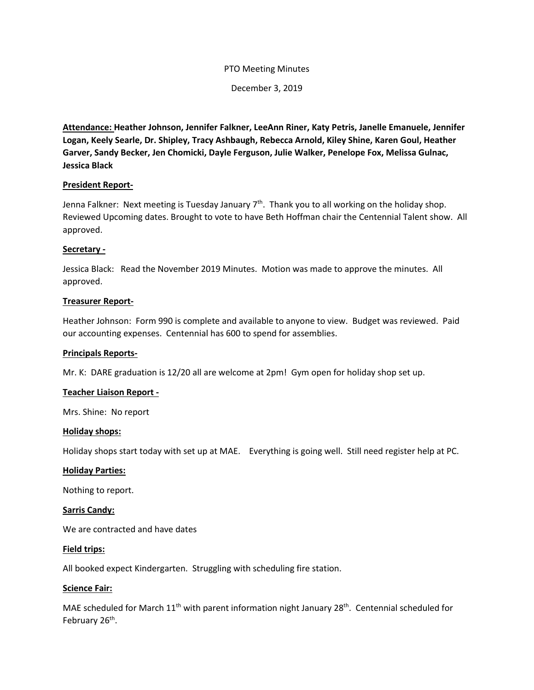### PTO Meeting Minutes

December 3, 2019

**Attendance: Heather Johnson, Jennifer Falkner, LeeAnn Riner, Katy Petris, Janelle Emanuele, Jennifer Logan, Keely Searle, Dr. Shipley, Tracy Ashbaugh, Rebecca Arnold, Kiley Shine, Karen Goul, Heather Garver, Sandy Becker, Jen Chomicki, Dayle Ferguson, Julie Walker, Penelope Fox, Melissa Gulnac, Jessica Black**

### **President Report-**

Jenna Falkner: Next meeting is Tuesday January  $7<sup>th</sup>$ . Thank you to all working on the holiday shop. Reviewed Upcoming dates. Brought to vote to have Beth Hoffman chair the Centennial Talent show. All approved.

### **Secretary -**

Jessica Black: Read the November 2019 Minutes. Motion was made to approve the minutes. All approved.

### **Treasurer Report-**

Heather Johnson: Form 990 is complete and available to anyone to view. Budget was reviewed. Paid our accounting expenses. Centennial has 600 to spend for assemblies.

#### **Principals Reports-**

Mr. K: DARE graduation is 12/20 all are welcome at 2pm! Gym open for holiday shop set up.

#### **Teacher Liaison Report -**

Mrs. Shine: No report

#### **Holiday shops:**

Holiday shops start today with set up at MAE. Everything is going well. Still need register help at PC.

#### **Holiday Parties:**

Nothing to report.

#### **Sarris Candy:**

We are contracted and have dates

#### **Field trips:**

All booked expect Kindergarten. Struggling with scheduling fire station.

#### **Science Fair:**

MAE scheduled for March  $11<sup>th</sup>$  with parent information night January 28<sup>th</sup>. Centennial scheduled for February 26<sup>th</sup>.